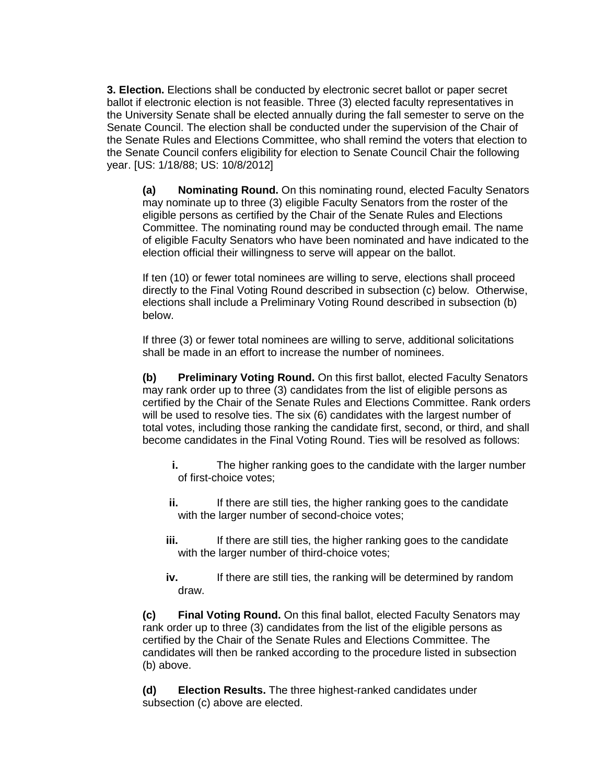**3. Election.** Elections shall be conducted by electronic secret ballot or paper secret ballot if electronic election is not feasible. Three (3) elected faculty representatives in the University Senate shall be elected annually during the fall semester to serve on the Senate Council. The election shall be conducted under the supervision of the Chair of the Senate Rules and Elections Committee, who shall remind the voters that election to the Senate Council confers eligibility for election to Senate Council Chair the following year. [US: 1/18/88; US: 10/8/2012]

**(a) Nominating Round.** On this nominating round, elected Faculty Senators may nominate up to three (3) eligible Faculty Senators from the roster of the eligible persons as certified by the Chair of the Senate Rules and Elections Committee. The nominating round may be conducted through email. The name of eligible Faculty Senators who have been nominated and have indicated to the election official their willingness to serve will appear on the ballot.

If ten (10) or fewer total nominees are willing to serve, elections shall proceed directly to the Final Voting Round described in subsection (c) below. Otherwise, elections shall include a Preliminary Voting Round described in subsection (b) below.

If three (3) or fewer total nominees are willing to serve, additional solicitations shall be made in an effort to increase the number of nominees.

**(b) Preliminary Voting Round.** On this first ballot, elected Faculty Senators may rank order up to three (3) candidates from the list of eligible persons as certified by the Chair of the Senate Rules and Elections Committee. Rank orders will be used to resolve ties. The six (6) candidates with the largest number of total votes, including those ranking the candidate first, second, or third, and shall become candidates in the Final Voting Round. Ties will be resolved as follows:

- **i.** The higher ranking goes to the candidate with the larger number of first-choice votes;
- **ii.** If there are still ties, the higher ranking goes to the candidate with the larger number of second-choice votes;
- **iii.** If there are still ties, the higher ranking goes to the candidate with the larger number of third-choice votes;
- **iv.** If there are still ties, the ranking will be determined by random draw.

**(c) Final Voting Round.** On this final ballot, elected Faculty Senators may rank order up to three (3) candidates from the list of the eligible persons as certified by the Chair of the Senate Rules and Elections Committee. The candidates will then be ranked according to the procedure listed in subsection (b) above.

**(d) Election Results.** The three highest-ranked candidates under subsection (c) above are elected.